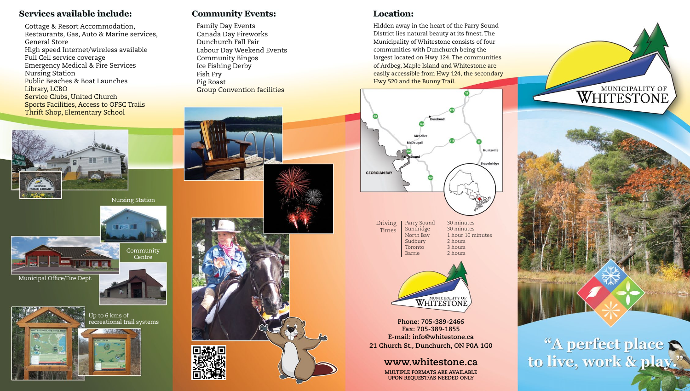#### Services available include:

Cottage & Resort Accommodation, Restaurants, Gas, Auto & Marine services, General Store High speed Internet/wireless available Full Cell service coverage Emergency Medical & Fire Services Nursing Station Public Beaches & Boat Launches Library, LCBO Service Clubs, United Church Sports Facilities, Access to OFSC Trails Thrift Shop, Elementary School

#### **Community Events:**

Family Day Events Canada Day Fireworks Dunchurch Fall Fair Labour Day Weekend Events Community Bingos Ice Fishing Derby Fish Fry Pig Roast Group Convention facilities



Hidden away in the heart of the Parry Sound District lies natural beauty at its finest. The Municipality of Whitestone consists of four communities with Dunchurch being the largest located on Hwy 124. The communities of Ardbeg, Maple Island and Whitestone are easily accessible from Hwy 124, the secondary Hwy 520 and the Bunny Trail.



Sundridge<br>North Bay Toronto<br>Barrie Driving Times

Parry Sound 30 minutes<br>Sundridge 30 minutes 1 hour 10 minutes<br>2 hours Sudbury 2 hours<br>Toronto 3 hours 2 hours



**Phone: 705-389-2466 Fax: 705-389-1855 E-mail: info@whitestone.ca 21 Church St., Dunchurch, ON P0A 1G0**

### **www.whitestone.ca**

**MULTIPLE FORMATS ARE AVAILABLE UPON REQUEST/AS NEEDED ONLY**



WHITESTONE

"A perfect place





Municipal Office/Fire Dept.